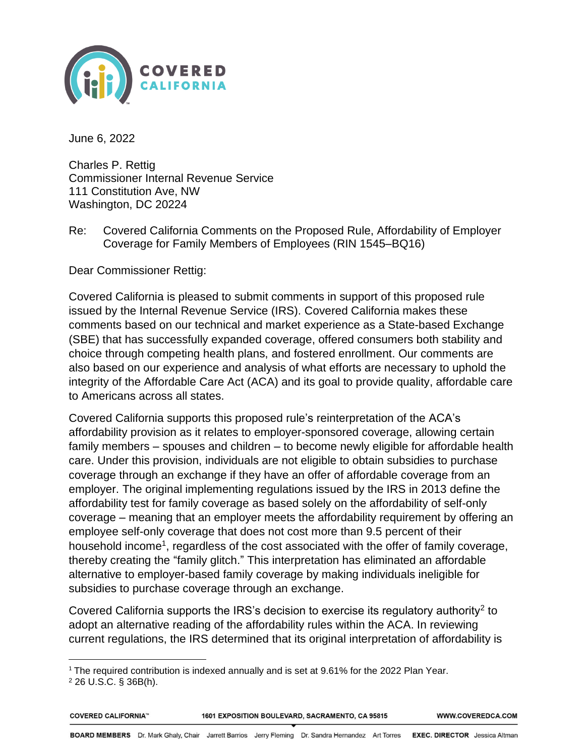

June 6, 2022

Charles P. Rettig Commissioner Internal Revenue Service 111 Constitution Ave, NW Washington, DC 20224

Re: Covered California Comments on the Proposed Rule, Affordability of Employer Coverage for Family Members of Employees (RIN 1545–BQ16)

Dear Commissioner Rettig:

Covered California is pleased to submit comments in support of this proposed rule issued by the Internal Revenue Service (IRS). Covered California makes these comments based on our technical and market experience as a State-based Exchange (SBE) that has successfully expanded coverage, offered consumers both stability and choice through competing health plans, and fostered enrollment. Our comments are also based on our experience and analysis of what efforts are necessary to uphold the integrity of the Affordable Care Act (ACA) and its goal to provide quality, affordable care to Americans across all states.

Covered California supports this proposed rule's reinterpretation of the ACA's affordability provision as it relates to employer-sponsored coverage, allowing certain family members – spouses and children – to become newly eligible for affordable health care. Under this provision, individuals are not eligible to obtain subsidies to purchase coverage through an exchange if they have an offer of affordable coverage from an employer. The original implementing regulations issued by the IRS in 2013 define the affordability test for family coverage as based solely on the affordability of self-only coverage – meaning that an employer meets the affordability requirement by offering an employee self-only coverage that does not cost more than 9.5 percent of their household income<sup>1</sup>, regardless of the cost associated with the offer of family coverage, thereby creating the "family glitch." This interpretation has eliminated an affordable alternative to employer-based family coverage by making individuals ineligible for subsidies to purchase coverage through an exchange.

Covered California supports the IRS's decision to exercise its regulatory authority<sup>2</sup> to adopt an alternative reading of the affordability rules within the ACA. In reviewing current regulations, the IRS determined that its original interpretation of affordability is

<sup>&</sup>lt;sup>1</sup> The required contribution is indexed annually and is set at 9.61% for the 2022 Plan Year.

<sup>2</sup> 26 U.S.C. § 36B(h).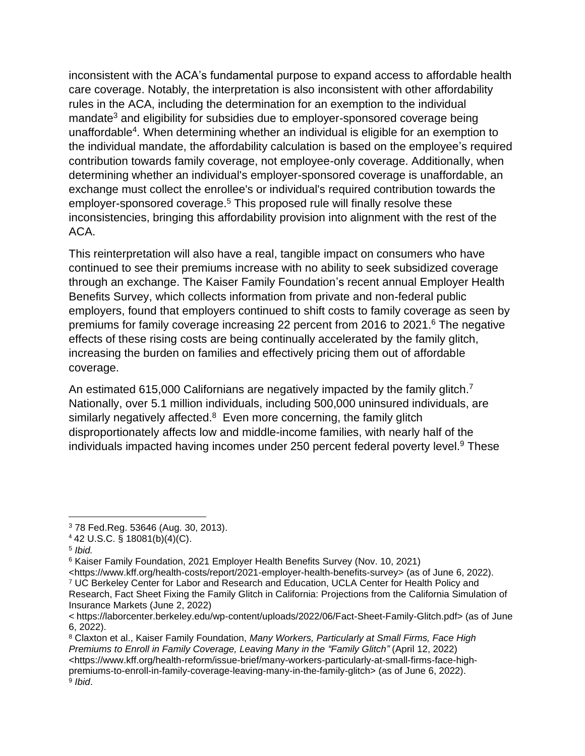inconsistent with the ACA's fundamental purpose to expand access to affordable health care coverage. Notably, the interpretation is also inconsistent with other affordability rules in the ACA, including the determination for an exemption to the individual mandate<sup>3</sup> and eligibility for subsidies due to employer-sponsored coverage being unaffordable<sup>4</sup>. When determining whether an individual is eligible for an exemption to the individual mandate, the affordability calculation is based on the employee's required contribution towards family coverage, not employee-only coverage. Additionally, when determining whether an individual's employer-sponsored coverage is unaffordable, an exchange must collect the enrollee's or individual's required contribution towards the employer-sponsored coverage.<sup>5</sup> This proposed rule will finally resolve these inconsistencies, bringing this affordability provision into alignment with the rest of the ACA.

This reinterpretation will also have a real, tangible impact on consumers who have continued to see their premiums increase with no ability to seek subsidized coverage through an exchange. The Kaiser Family Foundation's recent annual Employer Health Benefits Survey, which collects information from private and non-federal public employers, found that employers continued to shift costs to family coverage as seen by premiums for family coverage increasing 22 percent from 2016 to 2021.<sup>6</sup> The negative effects of these rising costs are being continually accelerated by the family glitch, increasing the burden on families and effectively pricing them out of affordable coverage.

An estimated 615,000 Californians are negatively impacted by the family glitch.<sup>7</sup> Nationally, over 5.1 million individuals, including 500,000 uninsured individuals, are similarly negatively affected.<sup>8</sup> Even more concerning, the family glitch disproportionately affects low and middle-income families, with nearly half of the individuals impacted having incomes under 250 percent federal poverty level.<sup>9</sup> These

<https://www.kff.org/health-costs/report/2021-employer-health-benefits-survey> (as of June 6, 2022). <sup>7</sup> UC Berkeley Center for Labor and Research and Education, UCLA Center for Health Policy and Research, Fact Sheet Fixing the Family Glitch in California: Projections from the California Simulation of

<sup>8</sup> Claxton et al., Kaiser Family Foundation, *Many Workers, Particularly at Small Firms, Face High Premiums to Enroll in Family Coverage, Leaving Many in the "Family Glitch"* (April 12, 2022) <https://www.kff.org/health-reform/issue-brief/many-workers-particularly-at-small-firms-face-highpremiums-to-enroll-in-family-coverage-leaving-many-in-the-family-glitch> (as of June 6, 2022). 9 *Ibid*.

<sup>3</sup> 78 Fed.Reg. 53646 (Aug. 30, 2013).

<sup>4</sup> 42 U.S.C. § 18081(b)(4)(C).

<sup>5</sup> *Ibid.*

<sup>6</sup> Kaiser Family Foundation, 2021 Employer Health Benefits Survey (Nov. 10, 2021)

Insurance Markets (June 2, 2022) < https://laborcenter.berkeley.edu/wp-content/uploads/2022/06/Fact-Sheet-Family-Glitch.pdf> (as of June 6, 2022).